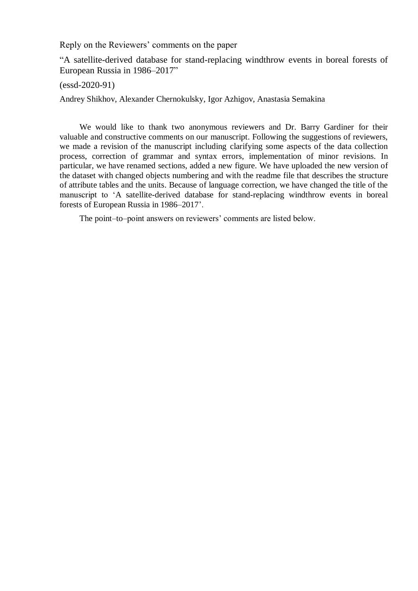Reply on the Reviewers' comments on the paper

―A satellite-derived database for stand-replacing windthrow events in boreal forests of European Russia in 1986–2017"

(essd-2020-91)

Andrey Shikhov, Alexander Chernokulsky, Igor Azhigov, Anastasia Semakina

We would like to thank two anonymous reviewers and Dr. Barry Gardiner for their valuable and constructive comments on our manuscript. Following the suggestions of reviewers, we made a revision of the manuscript including clarifying some aspects of the data collection process, correction of grammar and syntax errors, implementation of minor revisions. In particular, we have renamed sections, added a new figure. We have uploaded the new version of the dataset with changed objects numbering and with the readme file that describes the structure of attribute tables and the units. Because of language correction, we have changed the title of the manuscript to 'A satellite-derived database for stand-replacing windthrow events in boreal forests of European Russia in 1986–2017'.

The point–to–point answers on reviewers' comments are listed below.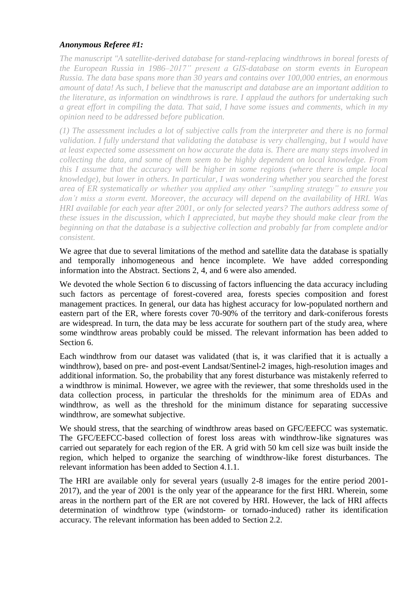# *Anonymous Referee #1:*

*The manuscript "A satellite-derived database for stand-replacing windthrows in boreal forests of the European Russia in 1986–2017" present a GIS-database on storm events in European Russia. The data base spans more than 30 years and contains over 100,000 entries, an enormous amount of data! As such, I believe that the manuscript and database are an important addition to the literature, as information on windthrows is rare. I applaud the authors for undertaking such a great effort in compiling the data. That said, I have some issues and comments, which in my opinion need to be addressed before publication.*

*(1) The assessment includes a lot of subjective calls from the interpreter and there is no formal validation. I fully understand that validating the database is very challenging, but I would have at least expected some assessment on how accurate the data is. There are many steps involved in collecting the data, and some of them seem to be highly dependent on local knowledge. From this I assume that the accuracy will be higher in some regions (where there is ample local knowledge), but lower in others. In particular, I was wondering whether you searched the forest area of ER systematically or whether you applied any other "sampling strategy" to ensure you don't miss a storm event. Moreover, the accuracy will depend on the availability of HRI. Was HRI available for each year after 2001, or only for selected years? The authors address some of these issues in the discussion, which I appreciated, but maybe they should make clear from the beginning on that the database is a subjective collection and probably far from complete and/or consistent.*

We agree that due to several limitations of the method and satellite data the database is spatially and temporally inhomogeneous and hence incomplete. We have added corresponding information into the Abstract. Sections 2, 4, and 6 were also amended.

We devoted the whole Section 6 to discussing of factors influencing the data accuracy including such factors as percentage of forest-covered area, forests species composition and forest management practices. In general, our data has highest accuracy for low-populated northern and eastern part of the ER, where forests cover 70-90% of the territory and dark-coniferous forests are widespread. In turn, the data may be less accurate for southern part of the study area, where some windthrow areas probably could be missed. The relevant information has been added to Section 6.

Each windthrow from our dataset was validated (that is, it was clarified that it is actually a windthrow), based on pre- and post-event Landsat/Sentinel-2 images, high-resolution images and additional information. So, the probability that any forest disturbance was mistakenly referred to a windthrow is minimal. However, we agree with the reviewer, that some thresholds used in the data collection process, in particular the thresholds for the minimum area of EDAs and windthrow, as well as the threshold for the minimum distance for separating successive windthrow, are somewhat subjective.

We should stress, that the searching of windthrow areas based on GFC/EEFCC was systematic. The GFC/EEFCC-based collection of forest loss areas with windthrow-like signatures was carried out separately for each region of the ER. A grid with 50 km cell size was built inside the region, which helped to organize the searching of windthrow-like forest disturbances. The relevant information has been added to Section 4.1.1.

The HRI are available only for several years (usually 2-8 images for the entire period 2001- 2017), and the year of 2001 is the only year of the appearance for the first HRI. Wherein, some areas in the northern part of the ER are not covered by HRI. However, the lack of HRI affects determination of windthrow type (windstorm- or tornado-induced) rather its identification accuracy. The relevant information has been added to Section 2.2.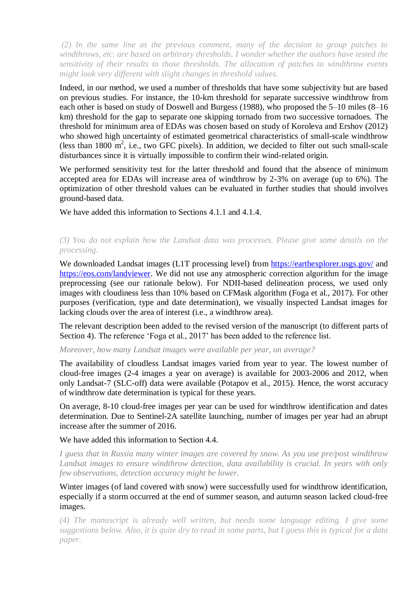*(2) In the same line as the previous comment, many of the decision to group patches to windthrows, etc. are based on arbitrary thresholds. I wonder whether the authors have tested the sensitivity of their results to those thresholds. The allocation of patches to windthrow events might look very different with slight changes in threshold values.*

Indeed, in our method, we used a number of thresholds that have some subjectivity but are based on previous studies. For instance, the 10-km threshold for separate successive windthrow from each other is based on study of Doswell and Burgess (1988), who proposed the 5–10 miles (8–16 km) threshold for the gap to separate one skipping tornado from two successive tornadoes. The threshold for minimum area of EDAs was chosen based on study of Koroleva and Ershov (2012) who showed high uncertainty of estimated geometrical characteristics of small-scale windthrow (less than  $1800 \text{ m}^2$ , i.e., two GFC pixels). In addition, we decided to filter out such small-scale disturbances since it is virtually impossible to confirm their wind-related origin.

We performed sensitivity test for the latter threshold and found that the absence of minimum accepted area for EDAs will increase area of windthrow by 2-3% on average (up to 6%). The optimization of other threshold values can be evaluated in further studies that should involves ground-based data.

We have added this information to Sections 4.1.1 and 4.1.4.

## *(3) You do not explain how the Landsat data was processes. Please give some details on the processing.*

We downloaded Landsat images (L1T processing level) from<https://earthexplorer.usgs.gov/> and [https://eos.com/landviewer.](https://eos.com/landviewer) We did not use any atmospheric correction algorithm for the image preprocessing (see our rationale below). For NDII-based delineation process, we used only images with cloudiness less than 10% based on CFMask algorithm (Foga et al., 2017). For other purposes (verification, type and date determination), we visually inspected Landsat images for lacking clouds over the area of interest (i.e., a windthrow area).

The relevant description been added to the revised version of the manuscript (to different parts of Section 4). The reference 'Foga et al., 2017' has been added to the reference list.

*Moreover, how many Landsat images were available per year, on average?* 

The availability of cloudless Landsat images varied from year to year. The lowest number of cloud-free images (2-4 images a year on average) is available for 2003-2006 and 2012, when only Landsat-7 (SLC-off) data were available (Potapov et al., 2015). Hence, the worst accuracy of windthrow date determination is typical for these years.

On average, 8-10 cloud-free images per year can be used for windthrow identification and dates determination. Due to Sentinel-2A satellite launching, number of images per year had an abrupt increase after the summer of 2016.

We have added this information to Section 4.4.

*I guess that in Russia many winter images are covered by snow. As you use pre/post windthrow Landsat images to ensure windthrow detection, data availability is crucial. In years with only few observations, detection accuracy might be lower.*

Winter images (of land covered with snow) were successfully used for windthrow identification, especially if a storm occurred at the end of summer season, and autumn season lacked cloud-free images.

*(4) The manuscript is already well written, but needs some language editing. I give some suggestions below. Also, it is quite dry to read in some parts, but I guess this is typical for a data paper.*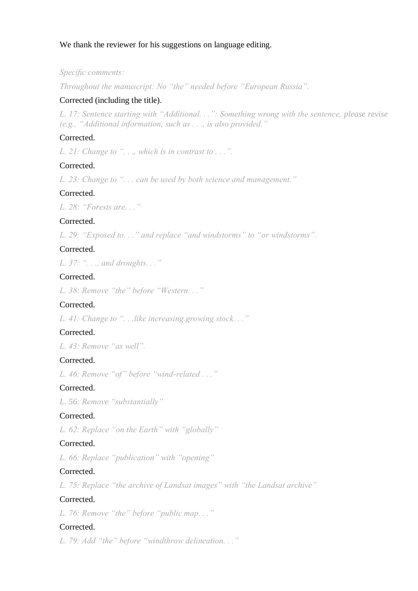# We thank the reviewer for his suggestions on language editing.

### *Specific comments:*

*Throughout the manuscript: No "the" needed before "European Russia".*

### Corrected (including the title).

*L. 17: Sentence starting with "Additional. . .": Something wrong with the sentence, please revise (e.g., "Additional information, such as . . ., is also provided."*

## Corrected.

*L. 21: Change to ". . ., which is in contrast to . . .".*

## Corrected.

*L. 23: Change to ". . . can be used by both science and management."*

## Corrected.

*L. 28: "Forests are. . ."* 

## Corrected.

*L. 29: "Exposed to. . ." and replace "and windstorms" to "or windstorms".*

#### Corrected.

*L. 37: ". . ., and droughts. . ."*

## Corrected.

*L. 38: Remove "the" before "Western. . ."*

# Corrected.

*L. 41: Change to ". . .like increasing growing stock. . ."*

## Corrected.

*L. 43: Remove "as well".*

## Corrected.

*L. 46: Remove "of" before "wind-related . . ."*

### Corrected.

*L. 56: Remove "substantially"*

## Corrected.

*L. 62: Replace "on the Earth" with "globally"*

## Corrected.

*L. 66: Replace "publication" with "opening"*

### Corrected.

*L. 75: Replace "the archive of Landsat images" with "the Landsat archive"*

#### Corrected.

*L. 76: Remove "the" before "public map. . ."*

# Corrected.

*L. 79: Add "the" before "windthrow delineation. . ."*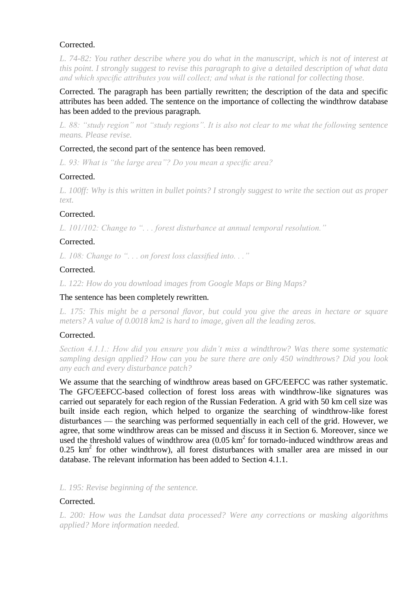## Corrected.

*L. 74-82: You rather describe where you do what in the manuscript, which is not of interest at this point. I strongly suggest to revise this paragraph to give a detailed description of what data and which specific attributes you will collect; and what is the rational for collecting those.*

Corrected. The paragraph has been partially rewritten; the description of the data and specific attributes has been added. The sentence on the importance of collecting the windthrow database has been added to the previous paragraph.

*L. 88: "study region" not "study regions". It is also not clear to me what the following sentence means. Please revise.*

## Corrected, the second part of the sentence has been removed.

*L. 93: What is "the large area"? Do you mean a specific area?*

## Corrected.

*L. 100ff: Why is this written in bullet points? I strongly suggest to write the section out as proper text.*

## Corrected.

*L. 101/102: Change to ". . . forest disturbance at annual temporal resolution."*

## Corrected.

*L. 108: Change to ". . . on forest loss classified into. . ."*

## **Corrected**

*L. 122: How do you download images from Google Maps or Bing Maps?*

### The sentence has been completely rewritten.

*L. 175: This might be a personal flavor, but could you give the areas in hectare or square meters? A value of 0.0018 km2 is hard to image, given all the leading zeros.*

## Corrected.

*Section 4.1.1.: How did you ensure you didn't miss a windthrow? Was there some systematic sampling design applied? How can you be sure there are only 450 windthrows? Did you look any each and every disturbance patch?*

We assume that the searching of windthrow areas based on GFC/EEFCC was rather systematic. The GFC/EEFCC-based collection of forest loss areas with windthrow-like signatures was carried out separately for each region of the Russian Federation. A grid with 50 km cell size was built inside each region, which helped to organize the searching of windthrow-like forest disturbances — the searching was performed sequentially in each cell of the grid. However, we agree, that some windthrow areas can be missed and discuss it in Section 6. Moreover, since we used the threshold values of windthrow area  $(0.05 \text{ km}^2 \text{ for tornado-induced window areas and})$  $0.25 \text{ km}^2$  for other windthrow), all forest disturbances with smaller area are missed in our database. The relevant information has been added to Section 4.1.1.

*L. 195: Revise beginning of the sentence.*

#### Corrected.

*L. 200: How was the Landsat data processed? Were any corrections or masking algorithms applied? More information needed.*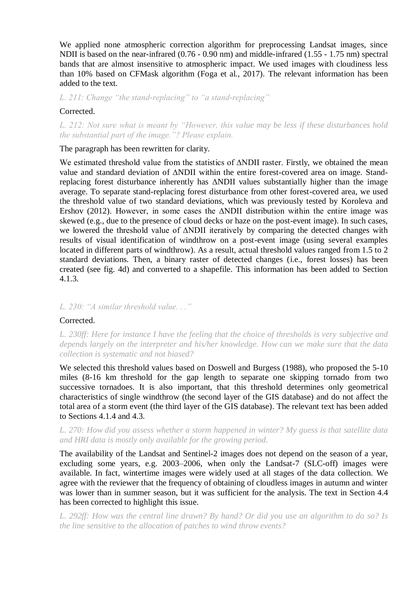We applied none atmospheric correction algorithm for preprocessing Landsat images, since NDII is based on the near-infrared (0.76 - 0.90 nm) and middle-infrared (1.55 - 1.75 nm) spectral bands that are almost insensitive to atmospheric impact. We used images with cloudiness less than 10% based on CFMask algorithm (Foga et al., 2017). The relevant information has been added to the text.

*L. 211: Change "the stand-replacing" to "a stand-replacing"*

### Corrected.

*L. 212: Not sure what is meant by "However, this value may be less if these disturbances hold the substantial part of the image."? Please explain.*

The paragraph has been rewritten for clarity.

We estimated threshold value from the statistics of ∆NDII raster. Firstly, we obtained the mean value and standard deviation of ∆NDII within the entire forest-covered area on image. Standreplacing forest disturbance inherently has ∆NDII values substantially higher than the image average. To separate stand-replacing forest disturbance from other forest-covered area, we used the threshold value of two standard deviations, which was previously tested by Koroleva and Ershov (2012). However, in some cases the ∆NDII distribution within the entire image was skewed (e.g., due to the presence of cloud decks or haze on the post-event image). In such cases, we lowered the threshold value of ∆NDII iteratively by comparing the detected changes with results of visual identification of windthrow on a post-event image (using several examples located in different parts of windthrow). As a result, actual threshold values ranged from 1.5 to 2 standard deviations. Then, a binary raster of detected changes (i.e., forest losses) has been created (see fig. 4d) and converted to a shapefile. This information has been added to Section 4.1.3.

#### *L. 230: "A similar threshold value. . ."*

## Corrected.

*L. 230ff: Here for instance I have the feeling that the choice of thresholds is very subjective and depends largely on the interpreter and his/her knowledge. How can we make sure that the data collection is systematic and not biased?*

We selected this threshold values based on Doswell and Burgess (1988), who proposed the 5-10 miles (8-16 km threshold for the gap length to separate one skipping tornado from two successive tornadoes. It is also important, that this threshold determines only geometrical characteristics of single windthrow (the second layer of the GIS database) and do not affect the total area of a storm event (the third layer of the GIS database). The relevant text has been added to Sections 4.1.4 and 4.3.

## *L. 270: How did you assess whether a storm happened in winter? My guess is that satellite data and HRI data is mostly only available for the growing period.*

The availability of the Landsat and Sentinel-2 images does not depend on the season of a year, excluding some years, e.g. 2003–2006, when only the Landsat-7 (SLC-off) images were available. In fact, wintertime images were widely used at all stages of the data collection. We agree with the reviewer that the frequency of obtaining of cloudless images in autumn and winter was lower than in summer season, but it was sufficient for the analysis. The text in Section 4.4 has been corrected to highlight this issue.

*L. 292ff: How was the central line drawn? By hand? Or did you use an algorithm to do so? Is the line sensitive to the allocation of patches to wind throw events?*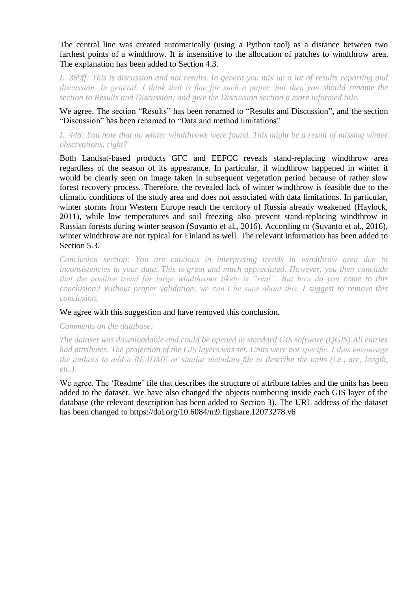The central line was created automatically (using a Python tool) as a distance between two farthest points of a windthrow. It is insensitive to the allocation of patches to windthrow area. The explanation has been added to Section 4.3.

L. 389ff: This is discussion and not results. In genera you mix up a lot of results reporting and *discussion. In general, I think that is fine for such a paper, but then you should rename the section to Results and Discussion; and give the Discussion section a more informed title.*

We agree. The section "Results" has been renamed to "Results and Discussion", and the section "Discussion" has been renamed to "Data and method limitations"

## *L. 446: You note that no winter windthrows were found. This might be a result of missing winter observations, right?*

Both Landsat-based products GFC and EEFCC reveals stand-replacing windthrow area regardless of the season of its appearance. In particular, if windthrow happened in winter it would be clearly seen on image taken in subsequent vegetation period because of rather slow forest recovery process. Therefore, the revealed lack of winter windthrow is feasible due to the climatic conditions of the study area and does not associated with data limitations. In particular, winter storms from Western Europe reach the territory of Russia already weakened (Haylock, 2011), while low temperatures and soil freezing also prevent stand-replacing windthrow in Russian forests during winter season (Suvanto et al., 2016). According to (Suvanto et al., 2016), winter windthrow are not typical for Finland as well. The relevant information has been added to Section 5.3.

*Conclusion section: You are cautious in interpreting trends in windthrow area due to inconsistencies in your data. This is great and much appreciated. However, you then conclude that the positive trend for large windthrows likely is "real". But how do you come to this conclusion? Without proper validation, we can't be sure about this. I suggest to remove this conclusion.*

#### We agree with this suggestion and have removed this conclusion.

## *Comments on the database:*

*The dataset was downloadable and could be opened in standard GIS software (QGIS).All entries had attributes. The projection of the GIS layers was set. Units were not specific. I thus encourage the authors to add a README or similar metadata file to describe the units (i.e., are, length, etc.).*

We agree. The 'Readme' file that describes the structure of attribute tables and the units has been added to the dataset. We have also changed the objects numbering inside each GIS layer of the database (the relevant description has been added to Section 3). The URL address of the dataset has been changed to https://doi.org/10.6084/m9.figshare.12073278.v6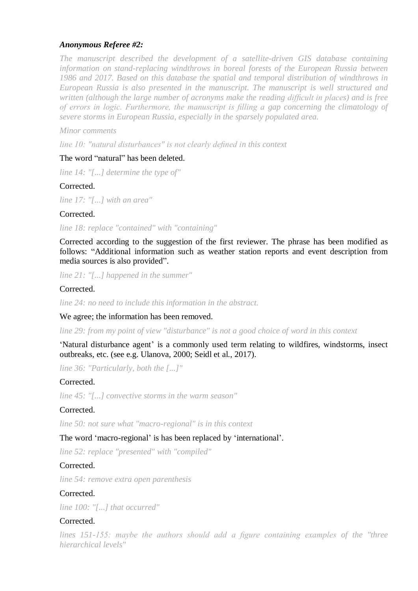# *Anonymous Referee #2:*

*The manuscript described the development of a satellite-driven GIS database containing information on stand-replacing windthrows in boreal forests of the European Russia between 1986 and 2017. Based on this database the spatial and temporal distribution of windthrows in European Russia is also presented in the manuscript. The manuscript is well structured and written (although the large number of acronyms make the reading difficult in places) and is free of errors in logic. Furthermore, the manuscript is filling a gap concerning the climatology of severe storms in European Russia, especially in the sparsely populated area.*

### *Minor comments*

*line 10: "natural disturbances" is not clearly defined in this context*

## The word "natural" has been deleted.

*line 14: "[...] determine the type of"*

## Corrected.

*line 17: "[...] with an area"*

## Corrected.

*line 18: replace "contained" with "containing"*

Corrected according to the suggestion of the first reviewer. The phrase has been modified as follows: "Additional information such as weather station reports and event description from media sources is also provided".

*line 21: "[...] happened in the summer"*

## Corrected.

*line 24: no need to include this information in the abstract.*

We agree; the information has been removed.

*line 29: from my point of view "disturbance" is not a good choice of word in this context*

‗Natural disturbance agent' is a commonly used term relating to wildfires, windstorms, insect outbreaks, etc. (see e.g. Ulanova, 2000; Seidl et al., 2017).

*line 36: "Particularly, both the [...]"*

## Corrected.

*line 45: "[...] convective storms in the warm season"*

## Corrected.

*line 50: not sure what "macro-regional" is in this context*

## The word 'macro-regional' is has been replaced by 'international'.

*line 52: replace "presented" with "compiled"*

## Corrected.

*line 54: remove extra open parenthesis*

## Corrected.

*line 100: "[...] that occurred"*

## Corrected.

*lines 151-155: maybe the authors should add a figure containing examples of the "three hierarchical levels"*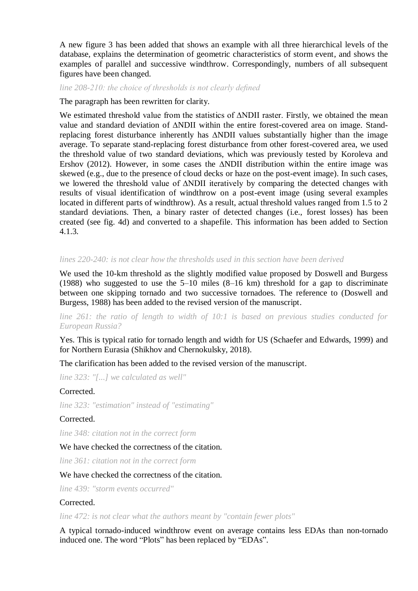A new figure 3 has been added that shows an example with all three hierarchical levels of the database, explains the determination of geometric characteristics of storm event, and shows the examples of parallel and successive windthrow. Correspondingly, numbers of all subsequent figures have been changed.

#### *line 208-210: the choice of thresholds is not clearly defined*

#### The paragraph has been rewritten for clarity.

We estimated threshold value from the statistics of ∆NDII raster. Firstly, we obtained the mean value and standard deviation of ∆NDII within the entire forest-covered area on image. Standreplacing forest disturbance inherently has ∆NDII values substantially higher than the image average. To separate stand-replacing forest disturbance from other forest-covered area, we used the threshold value of two standard deviations, which was previously tested by Koroleva and Ershov (2012). However, in some cases the ∆NDII distribution within the entire image was skewed (e.g., due to the presence of cloud decks or haze on the post-event image). In such cases, we lowered the threshold value of ∆NDII iteratively by comparing the detected changes with results of visual identification of windthrow on a post-event image (using several examples located in different parts of windthrow). As a result, actual threshold values ranged from 1.5 to 2 standard deviations. Then, a binary raster of detected changes (i.e., forest losses) has been created (see fig. 4d) and converted to a shapefile. This information has been added to Section 4.1.3.

## *lines 220-240: is not clear how the thresholds used in this section have been derived*

We used the 10-km threshold as the slightly modified value proposed by Doswell and Burgess (1988) who suggested to use the  $5-10$  miles  $(8-16 \text{ km})$  threshold for a gap to discriminate between one skipping tornado and two successive tornadoes. The reference to (Doswell and Burgess, 1988) has been added to the revised version of the manuscript.

*line 261: the ratio of length to width of 10:1 is based on previous studies conducted for European Russia?*

Yes. This is typical ratio for tornado length and width for US (Schaefer and Edwards, 1999) and for Northern Eurasia (Shikhov and Chernokulsky, 2018).

The clarification has been added to the revised version of the manuscript.

*line 323: "[...] we calculated as well"*

## Corrected.

*line 323: "estimation" instead of "estimating"*

#### Corrected.

*line 348: citation not in the correct form*

## We have checked the correctness of the citation.

*line 361: citation not in the correct form*

## We have checked the correctness of the citation.

*line 439: "storm events occurred"*

## Corrected.

*line 472: is not clear what the authors meant by "contain fewer plots"*

A typical tornado-induced windthrow event on average contains less EDAs than non-tornado induced one. The word "Plots" has been replaced by "EDAs".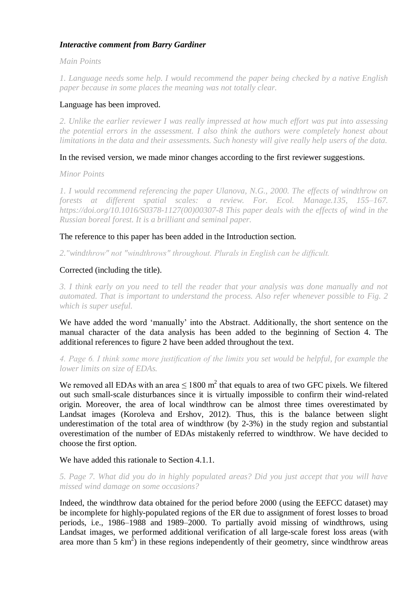# *Interactive comment from Barry Gardiner*

*Main Points*

*1. Language needs some help. I would recommend the paper being checked by a native English paper because in some places the meaning was not totally clear.* 

# Language has been improved.

*2. Unlike the earlier reviewer I was really impressed at how much effort was put into assessing the potential errors in the assessment. I also think the authors were completely honest about limitations in the data and their assessments. Such honesty will give really help users of the data.* 

## In the revised version, we made minor changes according to the first reviewer suggestions.

*Minor Points* 

*1. I would recommend referencing the paper Ulanova, N.G., 2000. The effects of windthrow on forests at different spatial scales: a review. For. Ecol. Manage.135, 155–167. https://doi.org/10.1016/S0378-1127(00)00307-8 This paper deals with the effects of wind in the Russian boreal forest. It is a brilliant and seminal paper.* 

The reference to this paper has been added in the Introduction section.

*2."windthrow" not "windthrows" throughout. Plurals in English can be difficult.* 

## Corrected (including the title).

*3. I think early on you need to tell the reader that your analysis was done manually and not automated. That is important to understand the process. Also refer whenever possible to Fig. 2 which is super useful.* 

We have added the word 'manually' into the Abstract. Additionally, the short sentence on the manual character of the data analysis has been added to the beginning of Section 4. The additional references to figure 2 have been added throughout the text.

*4. Page 6. I think some more justification of the limits you set would be helpful, for example the lower limits on size of EDAs.* 

We removed all EDAs with an area  $\leq 1800$  m<sup>2</sup> that equals to area of two GFC pixels. We filtered out such small-scale disturbances since it is virtually impossible to confirm their wind-related origin. Moreover, the area of local windthrow can be almost three times overestimated by Landsat images (Koroleva and Ershov, 2012). Thus, this is the balance between slight underestimation of the total area of windthrow (by 2-3%) in the study region and substantial overestimation of the number of EDAs mistakenly referred to windthrow. We have decided to choose the first option.

We have added this rationale to Section 4.1.1.

*5. Page 7. What did you do in highly populated areas? Did you just accept that you will have missed wind damage on some occasions?* 

Indeed, the windthrow data obtained for the period before 2000 (using the EEFCC dataset) may be incomplete for highly-populated regions of the ER due to assignment of forest losses to broad periods, i.e., 1986–1988 and 1989–2000. To partially avoid missing of windthrows, using Landsat images, we performed additional verification of all large-scale forest loss areas (with area more than 5  $\text{km}^2$ ) in these regions independently of their geometry, since windthrow areas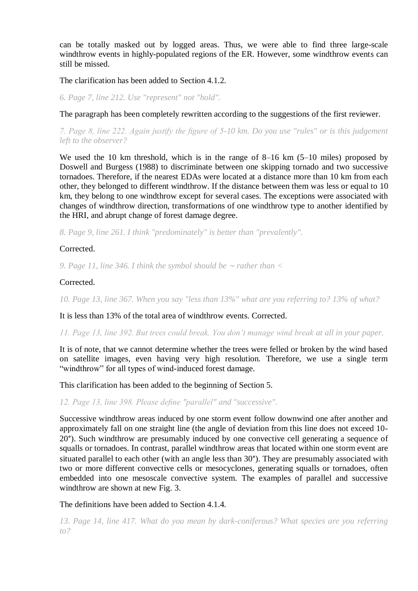can be totally masked out by logged areas. Thus, we were able to find three large-scale windthrow events in highly-populated regions of the ER. However, some windthrow events can still be missed.

The clarification has been added to Section 4.1.2.

*6. Page 7, line 212. Use "represent" not "hold".*

The paragraph has been completely rewritten according to the suggestions of the first reviewer.

*7. Page 8, line 222. Again justify the figure of 5-10 km. Do you use "rules" or is this judgement left to the observer?* 

We used the 10 km threshold, which is in the range of 8–16 km (5–10 miles) proposed by Doswell and Burgess (1988) to discriminate between one skipping tornado and two successive tornadoes. Therefore, if the nearest EDAs were located at a distance more than 10 km from each other, they belonged to different windthrow. If the distance between them was less or equal to 10 km, they belong to one windthrow except for several cases. The exceptions were associated with changes of windthrow direction, transformations of one windthrow type to another identified by the HRI, and abrupt change of forest damage degree.

*8. Page 9, line 261. I think "predominately" is better than "prevalently".* 

Corrected.

*9. Page 11, line 346. I think the symbol should be* <sup>∼</sup> *rather than <*

## Corrected.

*10. Page 13, line 367. When you say "less than 13%" what are you referring to? 13% of what?* 

It is less than 13% of the total area of windthrow events. Corrected.

*11. Page 13, line 392. But trees could break. You don't manage wind break at all in your paper.* 

It is of note, that we cannot determine whether the trees were felled or broken by the wind based on satellite images, even having very high resolution. Therefore, we use a single term "windthrow" for all types of wind-induced forest damage.

This clarification has been added to the beginning of Section 5.

*12. Page 13, line 398. Please define "parallel" and "successive".*

Successive windthrow areas induced by one storm event follow downwind one after another and approximately fall on one straight line (the angle of deviation from this line does not exceed 10- 20°). Such windthrow are presumably induced by one convective cell generating a sequence of squalls or tornadoes. In contrast, parallel windthrow areas that located within one storm event are situated parallel to each other (with an angle less than 30°). They are presumably associated with two or more different convective cells or mesocyclones, generating squalls or tornadoes, often embedded into one mesoscale convective system. The examples of parallel and successive windthrow are shown at new Fig. 3.

The definitions have been added to Section 4.1.4.

*13. Page 14, line 417. What do you mean by dark-coniferous? What species are you referring to?*